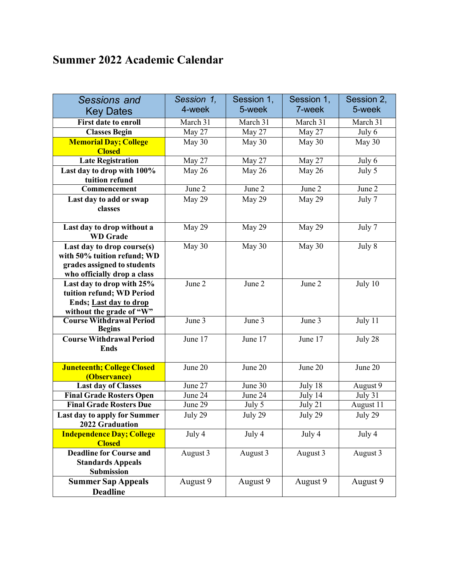## **Summer 2022 Academic Calendar**

| <b>Sessions and</b>                                    | Session 1, | Session 1, | Session 1, | Session 2,          |
|--------------------------------------------------------|------------|------------|------------|---------------------|
| <b>Key Dates</b>                                       | 4-week     | 5-week     | 7-week     | 5-week              |
| <b>First date to enroll</b>                            | March 31   | March 31   | March 31   | March 31            |
| <b>Classes Begin</b>                                   | May 27     | May 27     | May 27     | July 6              |
| <b>Memorial Day; College</b>                           | May 30     | May 30     | May 30     | May 30              |
| <b>Closed</b>                                          |            |            |            |                     |
| <b>Late Registration</b>                               | May 27     | May 27     | May 27     | July 6              |
| Last day to drop with 100%                             | May 26     | May 26     | May 26     | July 5              |
| tuition refund                                         |            |            |            |                     |
| Commencement                                           | June 2     | June 2     | June 2     | June $\overline{2}$ |
| Last day to add or swap                                | May 29     | May 29     | May 29     | July 7              |
| classes                                                |            |            |            |                     |
|                                                        |            |            |            |                     |
| Last day to drop without a                             | May 29     | May 29     | May 29     | July 7              |
| <b>WD</b> Grade                                        |            |            |            |                     |
| Last day to drop course(s)                             | May 30     | May 30     | May 30     | July 8              |
| with 50% tuition refund; WD                            |            |            |            |                     |
| grades assigned to students                            |            |            |            |                     |
| who officially drop a class                            | June 2     |            |            |                     |
| Last day to drop with 25%<br>tuition refund; WD Period |            | June 2     | June 2     | July 10             |
|                                                        |            |            |            |                     |
| Ends; Last day to drop<br>without the grade of "W"     |            |            |            |                     |
| <b>Course Withdrawal Period</b>                        | June 3     | June 3     | June 3     | July $11$           |
| <b>Begins</b>                                          |            |            |            |                     |
| <b>Course Withdrawal Period</b>                        | June 17    | June 17    | June 17    | July 28             |
| <b>Ends</b>                                            |            |            |            |                     |
|                                                        |            |            |            |                     |
| <b>Juneteenth; College Closed</b>                      | June 20    | June 20    | June 20    | June 20             |
| (Observance)                                           |            |            |            |                     |
| <b>Last day of Classes</b>                             | June 27    | June 30    | July 18    | August 9            |
| <b>Final Grade Rosters Open</b>                        | June 24    | June 24    | July 14    | July 31             |
| <b>Final Grade Rosters Due</b>                         | June 29    | July 5     | July 21    | August 11           |
| Last day to apply for Summer<br>2022 Graduation        | July 29    | July 29    | July 29    | July 29             |
| <b>Independence Day; College</b>                       | July 4     | July 4     | July 4     | July 4              |
| <b>Closed</b>                                          |            |            |            |                     |
| <b>Deadline for Course and</b>                         | August 3   | August 3   | August 3   | August 3            |
| <b>Standards Appeals</b>                               |            |            |            |                     |
| Submission                                             |            |            |            |                     |
| <b>Summer Sap Appeals</b>                              | August 9   | August 9   | August 9   | August 9            |
| <b>Deadline</b>                                        |            |            |            |                     |